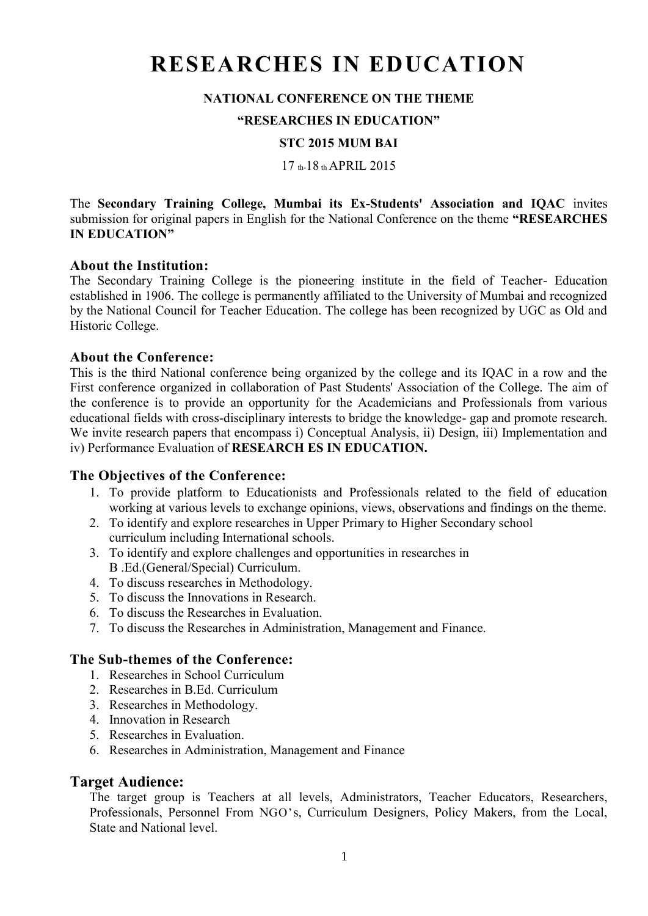# **RESEARCHES IN EDUCATION**

#### **NATIONAL CONFERENCE ON THE THEME**

#### **"RESEARCHES IN EDUCATION"**

#### **STC 2015 MUM BAI**

17 th-18 th APRIL 2015

The **Secondary Training College, Mumbai its Ex-Students' Association and IQAC** invites submission for original papers in English for the National Conference on the theme **"RESEARCHES IN EDUCATION"**

#### **About the Institution:**

The Secondary Training College is the pioneering institute in the field of Teacher- Education established in 1906. The college is permanently affiliated to the University of Mumbai and recognized by the National Council for Teacher Education. The college has been recognized by UGC as Old and Historic College.

#### **About the Conference:**

This is the third National conference being organized by the college and its IQAC in a row and the First conference organized in collaboration of Past Students' Association of the College. The aim of the conference is to provide an opportunity for the Academicians and Professionals from various educational fields with cross-disciplinary interests to bridge the knowledge- gap and promote research. We invite research papers that encompass i) Conceptual Analysis, ii) Design, iii) Implementation and iv) Performance Evaluation of **RESEARCH ES IN EDUCATION.**

#### **The Objectives of the Conference:**

- 1. To provide platform to Educationists and Professionals related to the field of education working at various levels to exchange opinions, views, observations and findings on the theme.
- 2. To identify and explore researches in Upper Primary to Higher Secondary school curriculum including International schools.
- 3. To identify and explore challenges and opportunities in researches in B .Ed.(General/Special) Curriculum.
- 4. To discuss researches in Methodology.
- 5. To discuss the Innovations in Research.
- 6. To discuss the Researches in Evaluation.
- 7. To discuss the Researches in Administration, Management and Finance.

#### **The Sub-themes of the Conference:**

- 1. Researches in School Curriculum
- 2. Researches in B.Ed. Curriculum
- 3. Researches in Methodology.
- 4. Innovation in Research
- 5. Researches in Evaluation.
- 6. Researches in Administration, Management and Finance

#### **Target Audience:**

The target group is Teachers at all levels, Administrators, Teacher Educators, Researchers, Professionals, Personnel From NGO's, Curriculum Designers, Policy Makers, from the Local, State and National level.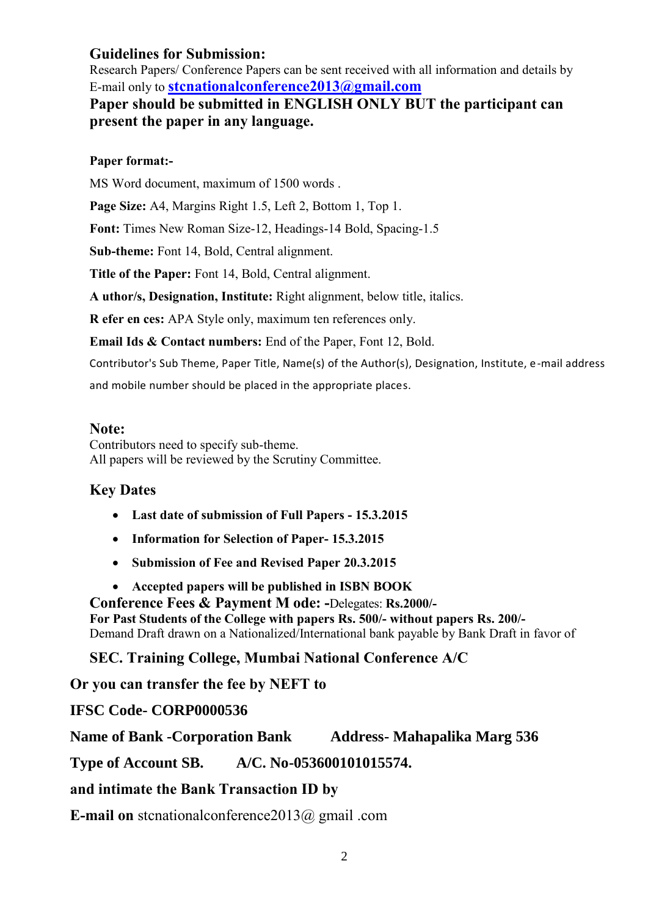### **Guidelines for Submission:**

Research Papers/ Conference Papers can be sent received with all information and details by E-mail only to **[stcnationalconference2013@gmail.com](mailto:stcnationalconference2013@gmail.com)**

**Paper should be submitted in ENGLISH ONLY BUT the participant can present the paper in any language.**

#### **Paper format:-**

MS Word document, maximum of 1500 words .

Page Size: A4, Margins Right 1.5, Left 2, Bottom 1, Top 1.

**Font:** Times New Roman Size-12, Headings-14 Bold, Spacing-1.5

**Sub-theme:** Font 14, Bold, Central alignment.

**Title of the Paper:** Font 14, Bold, Central alignment.

**A uthor/s, Designation, Institute:** Right alignment, below title, italics.

**R efer en ces:** APA Style only, maximum ten references only.

**Email Ids & Contact numbers:** End of the Paper, Font 12, Bold.

Contributor's Sub Theme, Paper Title, Name(s) of the Author(s), Designation, Institute, e-mail address

and mobile number should be placed in the appropriate places.

#### **Note:**

Contributors need to specify sub-theme. All papers will be reviewed by the Scrutiny Committee.

## **Key Dates**

- **Last date of submission of Full Papers - 15.3.2015**
- **Information for Selection of Paper- 15.3.2015**
- **Submission of Fee and Revised Paper 20.3.2015**
- **Accepted papers will be published in ISBN BOOK**

**Conference Fees & Payment M ode: -**Delegates: **Rs.2000/- For Past Students of the College with papers Rs. 500/- without papers Rs. 200/-** Demand Draft drawn on a Nationalized/International bank payable by Bank Draft in favor of

**SEC. Training College, Mumbai National Conference A/C**

**Or you can transfer the fee by NEFT to**

**IFSC Code- CORP0000536** 

**Name of Bank -Corporation Bank Address- Mahapalika Marg 536**

**Type of Account SB. A/C. No-053600101015574.**

**and intimate the Bank Transaction ID by** 

**E-mail on** stcnationalconference2013@ gmail .com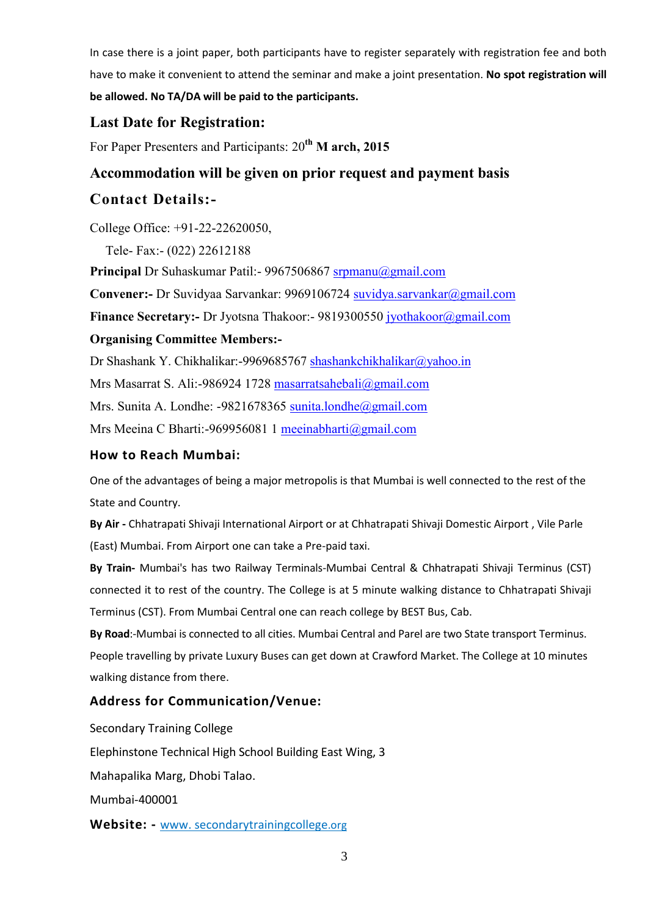In case there is a joint paper, both participants have to register separately with registration fee and both have to make it convenient to attend the seminar and make a joint presentation. **No spot registration will be allowed. No TA/DA will be paid to the participants.**

## **Last Date for Registration:**

For Paper Presenters and Participants: 20**th M arch, 2015**

## **Accommodation will be given on prior request and payment basis**

## **Contact Details:-**

College Office: +91-22-22620050,

Tele- Fax:- (022) 22612188

Principal Dr Suhaskumar Patil:- 9967506867 [srpmanu@gmail.com](mailto:srpmanu@gmail.com)

**Convener:-** Dr Suvidyaa Sarvankar: 9969106724 [suvidya.sarvankar@gmail.com](mailto:suvidya.sarvankar@gmail.com)

**Finance Secretary:-** Dr Jyotsna Thakoor:- 9819300550 [jyothakoor@gmail.com](mailto:jyothakoor@gmail.com)

#### **Organising Committee Members:-**

Dr Shashank Y. Chikhalikar:-9969685767 [shashankchikhalikar@yahoo.in](mailto:shashankchikhalikar@yahoo.in)

Mrs Masarrat S. Ali:-986924 1728 [masarratsahebali@gmail.com](mailto:masarratsahebali@gmail.com)

Mrs. Sunita A. Londhe: -9821678365 [sunita.londhe@gmail.com](mailto:sunita.londhe@gmail.com)

Mrs Meeina C Bharti:-969956081 1 [meeinabharti@gmail.com](mailto:meeinabharti@gmail.com)

#### **How to Reach Mumbai:**

One of the advantages of being a major metropolis is that Mumbai is well connected to the rest of the State and Country.

**By Air -** Chhatrapati Shivaji International Airport or at Chhatrapati Shivaji Domestic Airport , Vile Parle (East) Mumbai. From Airport one can take a Pre-paid taxi.

**By Train-** Mumbai's has two Railway Terminals-Mumbai Central & Chhatrapati Shivaji Terminus (CST) connected it to rest of the country. The College is at 5 minute walking distance to Chhatrapati Shivaji Terminus (CST). From Mumbai Central one can reach college by BEST Bus, Cab.

**By Road**:-Mumbai is connected to all cities. Mumbai Central and Parel are two State transport Terminus. People travelling by private Luxury Buses can get down at Crawford Market. The College at 10 minutes walking distance from there.

#### **Address for Communication/Venue:**

Secondary Training College

Elephinstone Technical High School Building East Wing, 3

Mahapalika Marg, Dhobi Talao.

Mumbai-400001

**Website: -** www. secondarytrainingco[llege](http://lege.org/).org